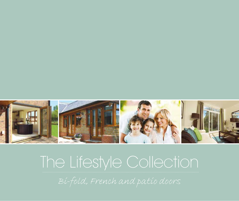

# The Lifestyle Collection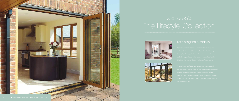

## *welcome to* The Lifestyle Collection

![](_page_1_Picture_2.jpeg)

![](_page_1_Picture_3.jpeg)

![](_page_1_Picture_4.jpeg)

#### Let's bring the outside in...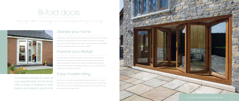# Bi-fold doors

*Enjoy the luxury of contemporary living*

![](_page_2_Picture_2.jpeg)

#### Liberate your home

Imagine open, wide spaces allowing air and light to flood into your home, instantly generating a contemporary look and feel. Made to provide maximum viewing areas, our bi-fold doors add the 'wow' factor to any property and can be installed where you require clear access to your patio or garden.

#### Improve your lifestyle

Amazingly flexible, with various fold options, you can open up an entire area during warm summer days or partially fold-back depending on the amount of fresh air and space you require. When closed, bi-fold doors offer shelter and warmth with no reduction in natural light, allowing you to stay connected to the outside from the comfort of your home.

## Enjoy modern living

With a choice of designs and guaranteed high-quality performance, our bi-fold doors bring you the space, comfort and low-maintenance luxury of modern living. Discover why more and more people are choosing Lifestyle bi-fold doors to add that extra dimension to their homes.

![](_page_2_Picture_10.jpeg)

Completely versatile to meet all your requirements, bi-fold doors offer a range of features to add beauty and value to your home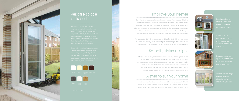#### Improve your lifestyle

Our stylish doors are an excellent complement to patio or French doors and the ideal finish for conservatories. Their high-quality manufacture means they can be installed anywhere that you require a clear, wide access to your patio or garden. Bi-fold doors will create the perfect summer ambience, but it's just as vital that they can withstand the harsh British winter. Our doors are manufactured with a square-edge profile. This gives a superior seal along door edges making them completely draught and weatherproof.

Manufactured to BS7412, our doors meet the British Standard minimum requirements for construction, security, safety, weather-tightness and strength of performance. This means behind its striking looks, your door is robust and built to last all-year-round.

#### Smooth, stylish designs

**Extensive openings** up to 6.5 metres wide maximises ventilation and natural light

#### Versatile space at its best

meet all the Building Regulations requirements,

![](_page_3_Picture_4.jpeg)

![](_page_3_Picture_6.jpeg)

Lifestyle doors are designed for maximum visual impact, whether open or closed. Their slim profile provides a fantastic open view and, when fully open, our doors are extremely compact, enabling easy access between your home and the outside world. An easy glide, bottom rail concertina mechanism allows for a smooth, elegant entrance every day. With stunning aesthetics and an elegant design, Lifestyle bi-fold doors make the ultimate entrance to contemporary living.

#### A style to suit your home

![](_page_3_Picture_17.jpeg)

![](_page_3_Picture_18.jpeg)

![](_page_3_Picture_19.jpeg)

![](_page_3_Picture_20.jpeg)

With a choice of contemporary colours and styles, you can create a look that is perfect for your home. Whether you want to match your existing décor, or make a stylish contrast, our doors offer the ultimate walkway from indoor to outdoor living.

A choice of fold options and opening door can be tailored to suit you

The slim, square edge

![](_page_3_Picture_0.jpeg)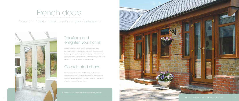#### Transform and enlighten your home

Lifestyle French doors are ideal for a wide range of uses, particularly where a traditional feel is required. Beautifully suited to open up conservatories or to make a unique design statement within your home, our doors have a classic appearance with all the benefits of contemporary PVC-U double-glazing.

#### Co-ordinated charm

When you choose from the Lifestyle range, 'sight lines' are designed to match the windows of your home. This means you can easily achieve a consistent style and still retain the individual character and appeal of your doors.

# French doors

## *Classic looks and modern performance*

![](_page_4_Picture_2.jpeg)

French doors integrated into conservatory design

![](_page_4_Picture_8.jpeg)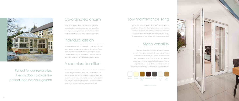#### Co-ordinated charm

When you choose from the Lifestyle range, 'sight lines' are designed to match the windows of your home. This means you can easily achieve a consistent style and still retain the individual character and appeal of your doors.

#### Individual design

A choice of frame styles – Chamfered or Ovolo and a choice of opening options mean you can tailor the finish of your French doors to your individual taste. Inward opening allows you to make the most of your patio space or you can maximise your indoor areas with an outward opening mechanism.

#### A seamless transition

For a smooth, seamless transition between outdoors and indoors, we can design your French doors with a low threshold. This enables easy access to your home particularly for prams and wheelchair users. It also means your doors are fully compliant with Part M of the Building Regulations – so nobody will have any complaints when they cross over your threshold.

![](_page_5_Picture_0.jpeg)

Perfect for conservatories, French doors provide the perfect lead into your garden

#### Low-maintenance living

We know how stunning your French doors will look and that you will want to keep them looking that way for years to come. In addition to a full 10-year profiles guarantee, we also fit our doors with convenient easy to clean internal rebates, so you know your door will look its best with the minimum of effort.

Flexible and sophisticated, Lifestyle French doors are available in a range of sizes up to 2 metres wide, providing an impressive entrance to your garden. A tasteful choice of colours allows your doors to compliment your home or conservatory. Whether you are looking for classic White or elegant Cream, or if you prefer the natural appearance of Rosewood or Golden Oak, we have a style that's right for you.

![](_page_5_Picture_12.jpeg)

\* Available in Ovolo style only

#### Stylish versatility

![](_page_5_Picture_17.jpeg)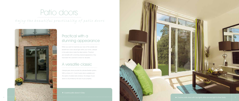## Practical with a stunning appearance

When you want to maximise your view of the outside and benefit from more natural light within your home, Lifestyle in-line patio doors make the ideal solution. Practical and versatile with a stunning classical appearance, they have been the customer's choice for decades.

#### A versatile classic

Lifestyle patio doors provide the ultimate flexible system. With a choice of 2, 3 and 4 pane doors available and the option of added side windows, the design of your doors is only limited by the size of your property.

# Patio doors

*Enjoy the be autiful prac tic ality of patio doors*

![](_page_6_Picture_2.jpeg)

![](_page_6_Picture_8.jpeg)